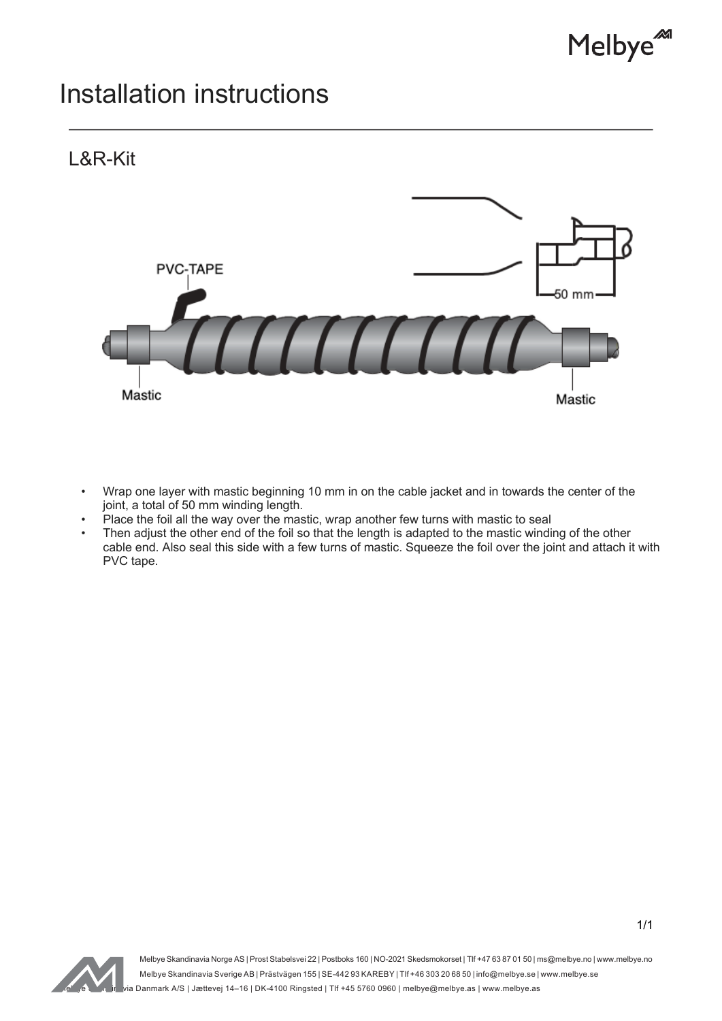

## Installation instructions



- Wrap one layer with mastic beginning 10 mm in on the cable jacket and in towards the center of the joint, a total of 50 mm winding length.
- Place the foil all the way over the mastic, wrap another few turns with mastic to seal
- Then adjust the other end of the foil so that the length is adapted to the mastic winding of the other cable end. Also seal this side with a few turns of mastic. Squeeze the foil over the joint and attach it with PVC tape.



Melbye Skandinavia Norge AS | Prost Stabelsvei 22 | Postboks 160 | NO-2021 Skedsmokorset | Tlf +47 63 87 01 50 | ms@melbye.no | www.melbye.no Melbye Skandinavia Sverige AB | Prästvägen 155 | SE-442 93 KAREBY | Tlf +46 303 20 68 50 | info@melbye.se | www.melbye.se .<br>Melbye@melbye.as | Jættevej 14–16 | DK-4100 Ringsted | Tlf +45 5760 0960 | melbye@melbye.as | www.melbye.as |